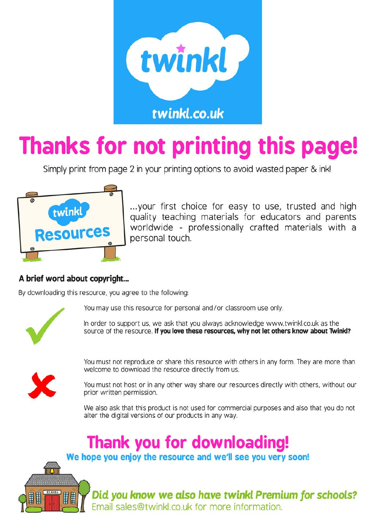

# Thanks for not printing this page!

Simply print from page 2 in your printing options to avoid wasted paper & ink!



... your first choice for easy to use, trusted and high quality teaching materials for educators and parents worldwide - professionally crafted materials with a personal touch.

## A brief word about copyright...

By downloading this resource, you agree to the following:



You may use this resource for personal and/or classroom use only.

In order to support us, we ask that you always acknowledge www.twinkl.co.uk as the source of the resource. If you love these resources, why not let others know about Twink!?



You must not reproduce or share this resource with others in any form. They are more than welcome to download the resource directly from us.

You must not host or in any other way share our resources directly with others, without our prior written permission.

We also ask that this product is not used for commercial purposes and also that you do not alter the digital versions of our products in any way.

## **Thank you for downloading!**

We hope you enjoy the resource and we'll see you very soon!



Did you know we also have twinkl Premium for schools? Email sales@twinkl.co.uk for more information.